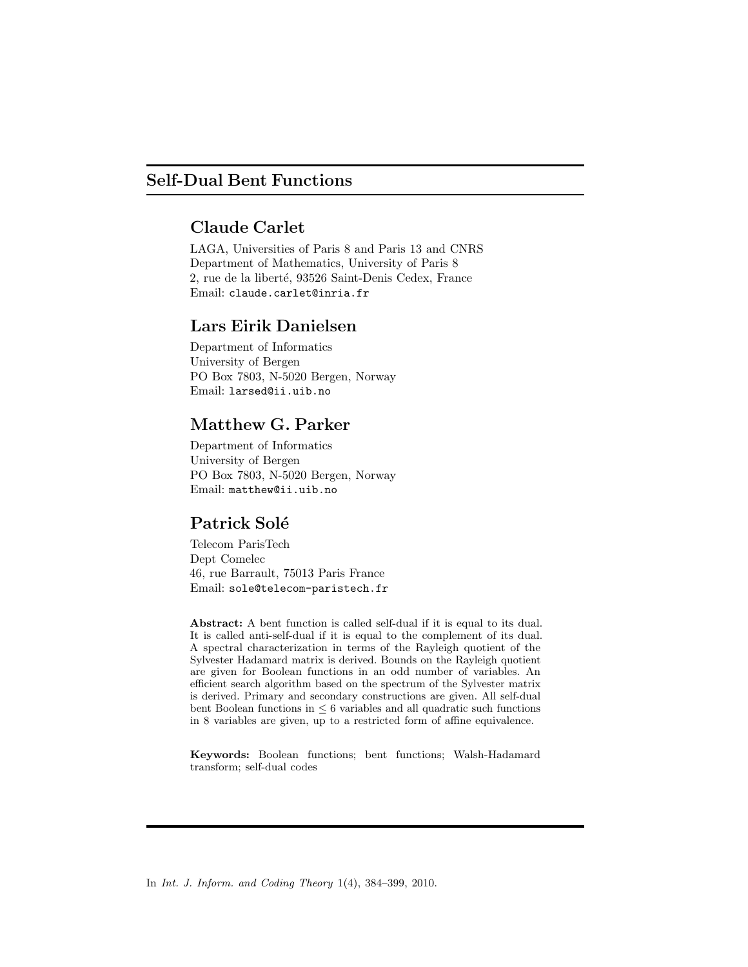## Self-Dual Bent Functions

## Claude Carlet

LAGA, Universities of Paris 8 and Paris 13 and CNRS Department of Mathematics, University of Paris 8 2, rue de la liberté, 93526 Saint-Denis Cedex, France Email: claude.carlet@inria.fr

## Lars Eirik Danielsen

Department of Informatics University of Bergen PO Box 7803, N-5020 Bergen, Norway Email: larsed@ii.uib.no

## Matthew G. Parker

Department of Informatics University of Bergen PO Box 7803, N-5020 Bergen, Norway Email: matthew@ii.uib.no

# Patrick Solé

Telecom ParisTech Dept Comelec 46, rue Barrault, 75013 Paris France Email: sole@telecom-paristech.fr

Abstract: A bent function is called self-dual if it is equal to its dual. It is called anti-self-dual if it is equal to the complement of its dual. A spectral characterization in terms of the Rayleigh quotient of the Sylvester Hadamard matrix is derived. Bounds on the Rayleigh quotient are given for Boolean functions in an odd number of variables. An efficient search algorithm based on the spectrum of the Sylvester matrix is derived. Primary and secondary constructions are given. All self-dual bent Boolean functions in  $\leq 6$  variables and all quadratic such functions in 8 variables are given, up to a restricted form of affine equivalence.

Keywords: Boolean functions; bent functions; Walsh-Hadamard transform; self-dual codes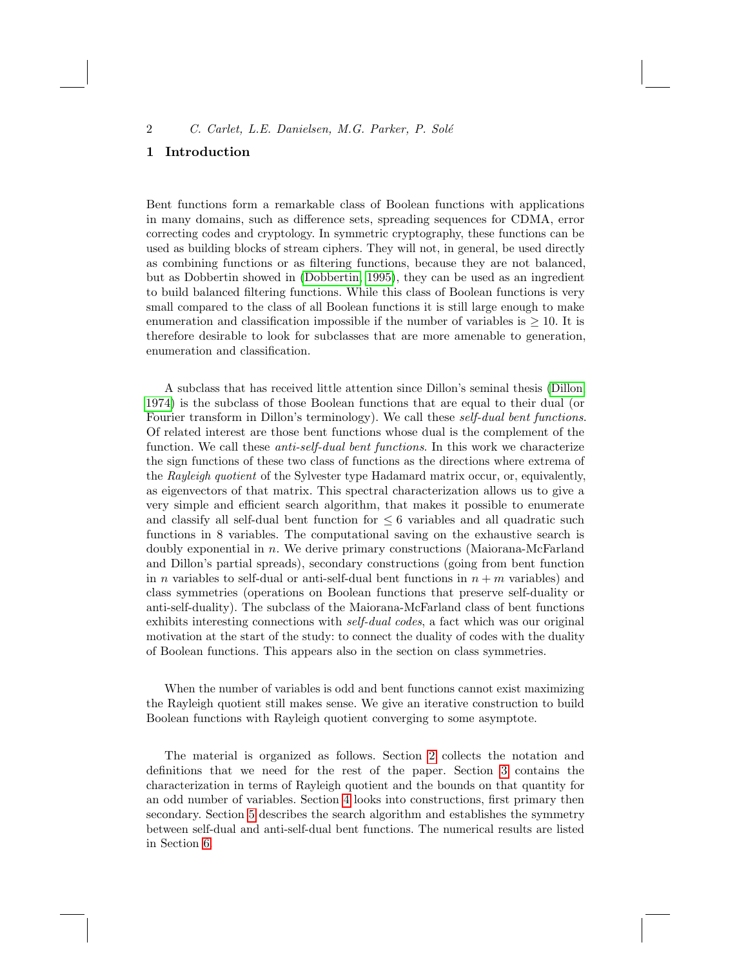## 1 Introduction

Bent functions form a remarkable class of Boolean functions with applications in many domains, such as difference sets, spreading sequences for CDMA, error correcting codes and cryptology. In symmetric cryptography, these functions can be used as building blocks of stream ciphers. They will not, in general, be used directly as combining functions or as filtering functions, because they are not balanced, but as Dobbertin showed in (Dobbertin, 1995), they can be used as an ingredient to build balanced filtering functions. While this class of Boolean functions is very small compared to the class of all Boolean functions it is st[ill large](#page-16-0) enough to make enumeration and classification impossible if the number of variables is  $\geq 10$ . It is therefore desirable to look for subclasses that are more amenable to generation, enumeration and classification.

A subclass that has received little attention since Dillon's seminal thesis (Dillon, 1974) is the subclass of those Boolean functions that are equal to their dual (or Fourier transform in Dillon's terminology). We call these self-dual bent functions. Of related interest are those bent functions whose dual is the complement of the function. We call these *anti-self-dual bent functions*. In this work we characterize the sign functions of these two class of functions as the directions where extrema of the Rayleigh quotient of the Sylvester type Hadamard matrix occur, or, equivalently, as eigenvectors of that matrix. This spectral characterization allows us to give a very simple and efficient search algorithm, that makes it possible to enumerate and classify all self-dual bent function for  $\leq 6$  variables and all quadratic such functions in 8 variables. The computational saving on the exhaustive search is doubly exponential in  $n$ . We derive primary constructions (Maiorana-McFarland and Dillon's partial spreads), secondary constructions (going from bent function in n variables to self-dual or anti-self-dual bent functions in  $n + m$  variables) and class symmetries (operations on Boolean functions that preserve self-duality or anti-self-duality). The subclass of the Maiorana-McFarland class of bent functions exhibits interesting connections with self-dual codes, a fact which was our original motivation at the start of the study: to connect the duality of codes with the duality of Boolean functions. This appears also in the section on class symmetries.

When the number of variables is odd and bent [fun](#page-2-0)ctions cannot exist maximizing the Rayleigh quotie[nt](#page-8-0) still makes sense. We give an iterative construction to build B[oo](#page-12-0)lean functions with Rayleigh quotient converging to some asymptote.

The material is organized as follows. Section 2 collects the notation and definitions that we need for the rest of the paper. Section 3 contains the characterization in terms of Rayleigh quotient and the bounds on that quantity for an odd number of variables. Section 4 looks into constructions, first primary then secondary. Section 5 describes the search algorithm and establishes the symmetry between self-dual and anti-self-dual bent functions. The numerical results are listed in Section 6.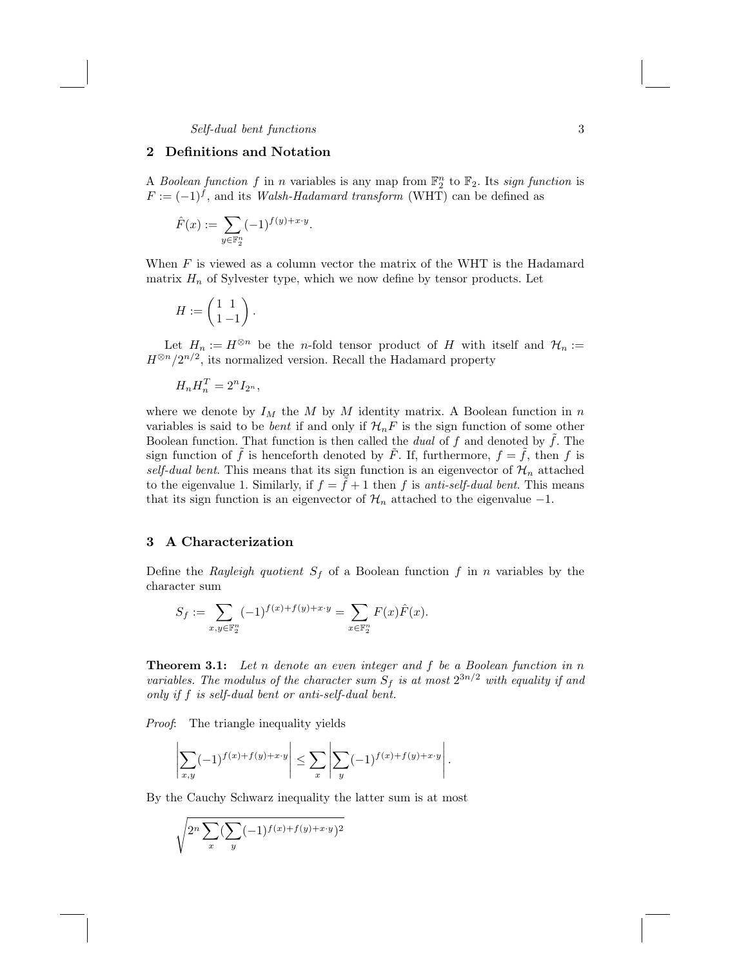## 2 Definitions and Notation

A Boolean function f in n variables is any map from  $\mathbb{F}_2^n$  to  $\mathbb{F}_2$ . Its sign function is  $F := (-1)^f$ , and its *Walsh-Hadamard transform* (WHT) can be defined as

$$
\hat{F}(x) := \sum_{y \in \mathbb{F}_2^n} (-1)^{f(y) + x \cdot y}.
$$

When  $F$  is viewed as a column vector the matrix of the WHT is the Hadamard matrix  $H_n$  of Sylvester type, which we now define by tensor products. Let

$$
H:=\left(\begin{matrix}1&1\\1&-1\end{matrix}\right).
$$

Let  $H_n := H^{\otimes n}$  be the *n*-fold tensor product of H with itself and  $\mathcal{H}_n :=$  $H^{\otimes n}/2^{n/2}$ , its normalized version. Recall the Hadamard property

$$
H_n H_n^T = 2^n I_{2^n},
$$

where we denote by  $I_M$  the M by M identity matrix. A Boolean function in n variables is said to be *bent* if and only if  $\mathcal{H}_nF$  is the sign function of some other Boolean function. That function is then called the *dual* of f and denoted by  $f$ . The sign function of f is henceforth denoted by F. If, furthermore,  $f = f$ , then f is self-dual bent. This means that its sign function is an eigenvector of  $\mathcal{H}_n$  attached to the eigenvalue 1. Similarly, if  $f = f + 1$  then f is anti-self-dual bent. This means that its sign function is an eigenvector of  $\mathcal{H}_n$  attached to the eigenvalue -1.

## <span id="page-2-0"></span>3 A Characterization

Define the Rayleigh quotient  $S_f$  of a Boolean function f in n variables by the character sum

$$
S_f:=\sum_{x,y\in\mathbb{F}_2^n}(-1)^{f(x)+f(y)+x\cdot y}=\sum_{x\in\mathbb{F}_2^n}F(x)\hat{F}(x).
$$

<span id="page-2-1"></span>**Theorem 3.1:** Let n denote an even integer and  $f$  be a Boolean function in  $n$ variables. The modulus of the character sum  $S_f$  is at most  $2^{3n/2}$  with equality if and only if f is self-dual bent or anti-self-dual bent.

Proof: The triangle inequality yields

$$
\left|\sum_{x,y}(-1)^{f(x)+f(y)+x\cdot y}\right| \leq \sum_{x}\left|\sum_{y}(-1)^{f(x)+f(y)+x\cdot y}\right|.
$$

By the Cauchy Schwarz inequality the latter sum is at most

$$
\sqrt{2^n \sum_x (\sum_y (-1)^{f(x)+f(y)+x\cdot y})^2}
$$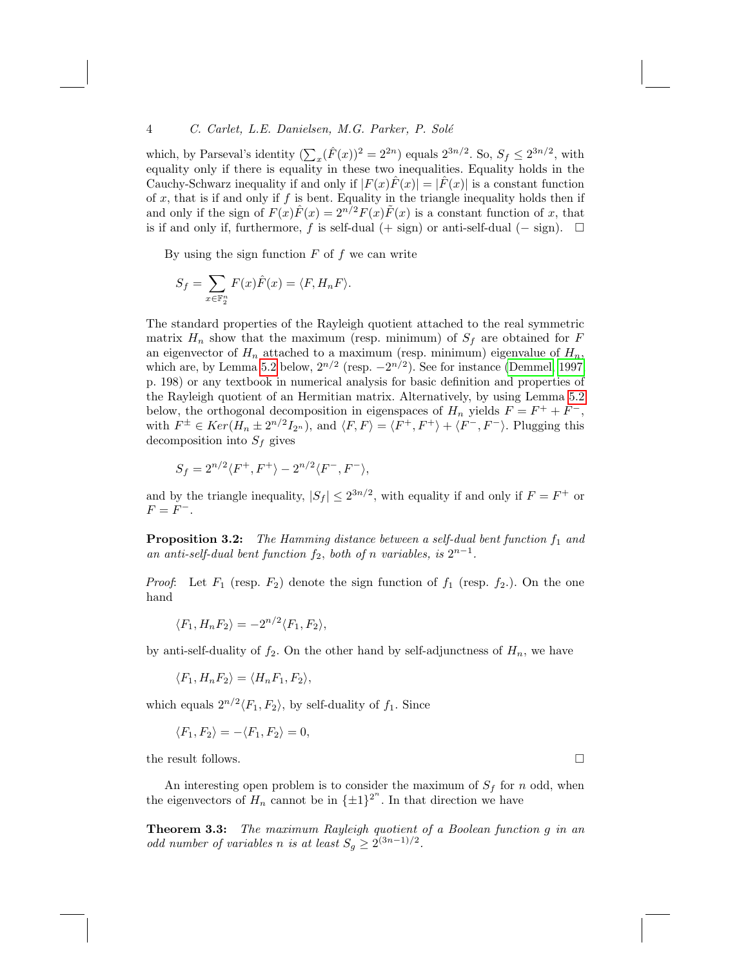which, by Parseval's identity  $(\sum_{x} (\hat{F}(x))^{2} = 2^{2n})$  equals  $2^{3n/2}$ . So,  $S_f \leq 2^{3n/2}$ , with equality only if there is equality in these two inequalities. Equality holds in the Cauchy-Schwarz inequality if and only if  $|F(x)\overline{F}(x)| = |\overline{F}(x)|$  is a constant function of  $x$ , that is if and only if  $f$  is bent. Equality in the triangle inequality holds then if and only if the sign of  $F(x)\hat{F}(x) = 2^{n/2}F(x)\tilde{F}(x)$  is a constant function of x, that is if and only if, furthermore, f is self-dual (+ sign) or anti-self-dual (- sign).  $□$ 

By using the sign function  $F$  of  $f$  we can write

$$
S_f = \sum_{x \in \mathbb{F}_2^n} F(x)\hat{F}(x) = \langle F, H_n F \rangle.
$$

The standard properties of the Rayleigh quotient attached to the real symmetric matrix  $H_n$  show that the maximum (resp. minimum) of  $S_f$  are obtained for F an eigenvector of  $H_n$  attached to a maximum (resp. minimum) eigenvalue of  $H_n$ , which are, by Lemma 5.2 below,  $2^{n/2}$  (resp.  $-2^{n/2}$ ). See for instance (Demmel, 1997, p. 198) or any textbook in numerical analysis for basic definition and properties of the Rayleigh quotient of an Hermitian matrix. Alternatively, by using Lemma 5.2 below, the orthogonal decomposition in eigenspaces of  $H_n$  yields  $F = F^+ + F^-$ , with  $F^{\pm} \in Ker(H_n \pm 2^{n/2}I_{2^n})$ , and  $\langle F, F \rangle = \langle F^+, F^+ \rangle + \langle F^-, F^- \rangle$ . Plugging this decomposition into  $S_f$  gives

$$
S_f = 2^{n/2} \langle F^+, F^+ \rangle - 2^{n/2} \langle F^-, F^- \rangle,
$$

and by the triangle inequality,  $|S_f| \leq 2^{3n/2}$ , with equality if and only if  $F = F^+$  or  $F = F^{-}$ .

**Proposition 3.2:** The Hamming distance between a self-dual bent function  $f_1$  and an anti-self-dual bent function  $f_2$ , both of n variables, is  $2^{n-1}$ .

*Proof*: Let  $F_1$  (resp.  $F_2$ ) denote the sign function of  $f_1$  (resp.  $f_2$ .). On the one hand

$$
\langle F_1, H_n F_2 \rangle = -2^{n/2} \langle F_1, F_2 \rangle,
$$

by anti-self-duality of  $f_2$ . On the other hand by self-adjunctness of  $H_n$ , we have

$$
\langle F_1, H_n F_2 \rangle = \langle H_n F_1, F_2 \rangle,
$$

which equals  $2^{n/2}\langle F_1, F_2 \rangle$ , by self-duality of  $f_1$ . Since

$$
\langle F_1, F_2 \rangle = -\langle F_1, F_2 \rangle = 0,
$$

the result follows.  $\Box$ 

An interesting open problem is to consider the maximum of  $S_f$  for n odd, when the eigenvectors of  $H_n$  cannot be in  $\{\pm 1\}^{2^n}$ . In that direction we have

**Theorem 3.3:** The maximum Rayleigh quotient of a Boolean function g in an odd number of variables n is at least  $S_g \geq 2^{(3n-1)/2}$ .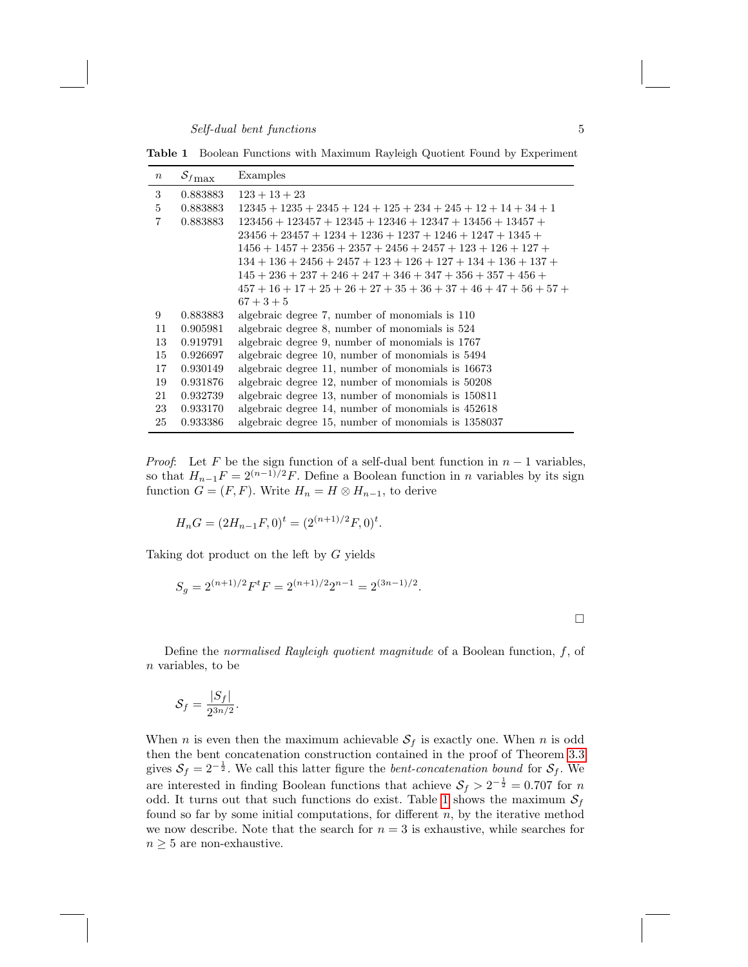Table 1 Boolean Functions with Maximum Rayleigh Quotient Found by Experiment

| $\boldsymbol{n}$ | $S_{f\max}$ | Examples                                                            |
|------------------|-------------|---------------------------------------------------------------------|
| 3                | 0.883883    | $123 + 13 + 23$                                                     |
| 5                | 0.883883    | $12345 + 1235 + 2345 + 124 + 125 + 234 + 245 + 12 + 14 + 34 + 1$    |
| 7                | 0.883883    | $123456 + 123457 + 12345 + 12346 + 12347 + 13456 + 13457 +$         |
|                  |             | $23456 + 23457 + 1234 + 1236 + 1237 + 1246 + 1247 + 1345 +$         |
|                  |             | $1456 + 1457 + 2356 + 2357 + 2456 + 2457 + 123 + 126 + 127 +$       |
|                  |             | $134 + 136 + 2456 + 2457 + 123 + 126 + 127 + 134 + 136 + 137 +$     |
|                  |             | $145 + 236 + 237 + 246 + 247 + 346 + 347 + 356 + 357 + 456 +$       |
|                  |             | $457 + 16 + 17 + 25 + 26 + 27 + 35 + 36 + 37 + 46 + 47 + 56 + 57 +$ |
|                  |             | $67 + 3 + 5$                                                        |
| 9                | 0.883883    | algebraic degree 7, number of monomials is 110                      |
| 11               | 0.905981    | algebraic degree 8, number of monomials is $524$                    |
| 13               | 0.919791    | algebraic degree 9, number of monomials is 1767                     |
| 15               | 0.926697    | algebraic degree 10, number of monomials is 5494                    |
| 17               | 0.930149    | algebraic degree 11, number of monomials is 16673                   |
| 19               | 0.931876    | algebraic degree 12, number of monomials is $50208$                 |
| 21               | 0.932739    | algebraic degree 13, number of monomials is 150811                  |
| 23               | 0.933170    | algebraic degree 14, number of monomials is $452618$                |
| 25               | 0.933386    | algebraic degree 15, number of monomials is 1358037                 |

*Proof:* Let F be the sign function of a self-dual bent function in  $n-1$  variables, so that  $H_{n-1}F = 2^{(n-1)/2}F$ . Define a Boolean function in *n* variables by its sign function  $G = (F, F)$ . Write  $H_n = H \otimes H_{n-1}$ , to derive

$$
H_n G = (2H_{n-1}F, 0)^t = (2^{(n+1)/2}F, 0)^t.
$$

Taking dot product on the left by G yields

$$
S_g = 2^{(n+1)/2} F^t F = 2^{(n+1)/2} 2^{n-1} = 2^{(3n-1)/2}.
$$

 $\Box$ 

Define the normalised Rayleigh quotient magnitude of a Boolean function,  $f$ , of  $n$  variables, to be

$$
\mathcal{S}_f = \frac{|S_f|}{2^{3n/2}}.
$$

When n is even then the maximum achievable  $S_f$  is exactly one. When n is odd then the bent concatenation construction contained in the proof of Theorem 3.3 gives  $S_f = 2^{-\frac{1}{2}}$ . We call this latter figure the *bent-concatenation bound* for  $S_f$ . We are interested in finding Boolean functions that achieve  $S_f > 2^{-\frac{1}{2}} = 0.707$  for n odd. It turns out that such functions do exist. Table 1 shows the maximum  $S_f$ found so far by some initial computations, for different  $n$ , by the iterative method we now describe. Note that the search for  $n = 3$  is exhaustive, while searches for  $n \geq 5$  are non-exhaustive.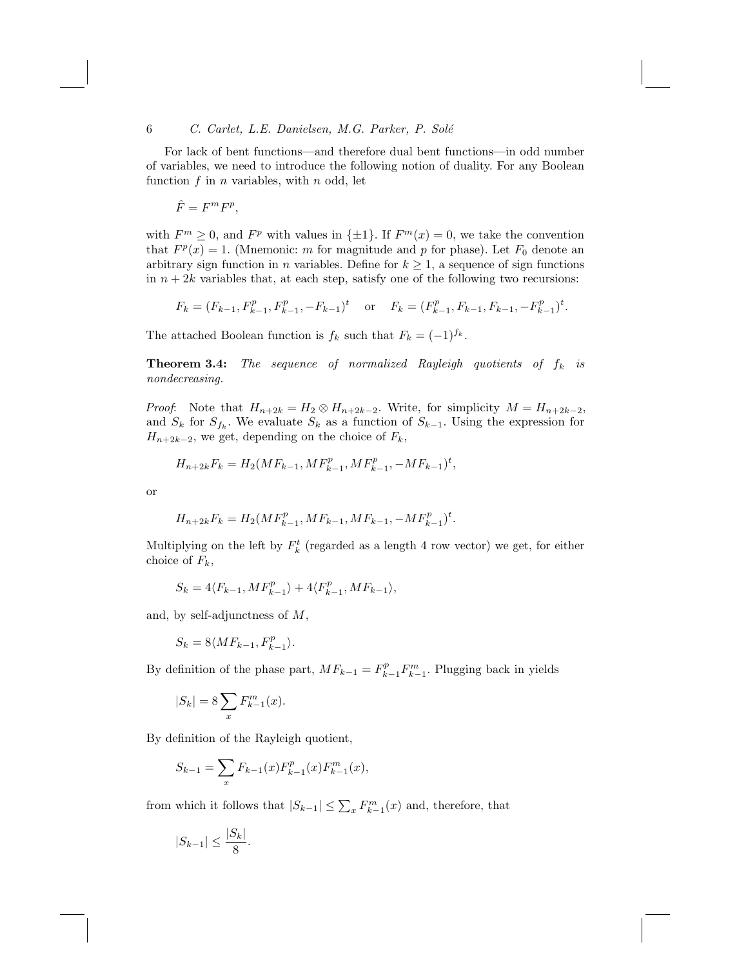For lack of bent functions—and therefore dual bent functions—in odd number of variables, we need to introduce the following notion of duality. For any Boolean function  $f$  in  $n$  variables, with  $n$  odd, let

$$
\hat{F} = F^m F^p,
$$

with  $F^m \geq 0$ , and  $F^p$  with values in  $\{\pm 1\}$ . If  $F^m(x) = 0$ , we take the convention that  $F^p(x) = 1$ . (Mnemonic: m for magnitude and p for phase). Let  $F_0$  denote an arbitrary sign function in *n* variables. Define for  $k \geq 1$ , a sequence of sign functions in  $n + 2k$  variables that, at each step, satisfy one of the following two recursions:

$$
F_k = (F_{k-1}, F_{k-1}^p, F_{k-1}^p, -F_{k-1})^t
$$
 or  $F_k = (F_{k-1}^p, F_{k-1}, F_{k-1}, -F_{k-1}^p)^t$ 

.

The attached Boolean function is  $f_k$  such that  $F_k = (-1)^{f_k}$ .

**Theorem 3.4:** The sequence of normalized Rayleigh quotients of  $f_k$  is nondecreasing.

*Proof:* Note that  $H_{n+2k} = H_2 \otimes H_{n+2k-2}$ . Write, for simplicity  $M = H_{n+2k-2}$ , and  $S_k$  for  $S_{f_k}$ . We evaluate  $S_k$  as a function of  $S_{k-1}$ . Using the expression for  $H_{n+2k-2}$ , we get, depending on the choice of  $F_k$ ,

$$
H_{n+2k}F_k = H_2(MF_{k-1}, MF_{k-1}^p, MF_{k-1}^p, -MF_{k-1})^t,
$$

or

$$
H_{n+2k}F_k = H_2(MF_{k-1}^p, MF_{k-1}, MF_{k-1}, -MF_{k-1}^p)^t.
$$

Multiplying on the left by  $F_k^t$  (regarded as a length 4 row vector) we get, for either choice of  $F_k$ ,

$$
S_k = 4\langle F_{k-1}, M F_{k-1}^p \rangle + 4\langle F_{k-1}^p, M F_{k-1} \rangle,
$$

and, by self-adjunctness of M,

$$
S_k = 8\langle M F_{k-1}, F_{k-1}^p \rangle.
$$

By definition of the phase part,  $MF_{k-1} = F_{k-1}^p F_{k-1}^m$ . Plugging back in yields

$$
|S_k| = 8 \sum_x F_{k-1}^m(x).
$$

By definition of the Rayleigh quotient,

$$
S_{k-1} = \sum_{x} F_{k-1}(x) F_{k-1}^p(x) F_{k-1}^m(x),
$$

from which it follows that  $|S_{k-1}| \leq \sum_x F_{k-1}^m(x)$  and, therefore, that

$$
|S_{k-1}| \le \frac{|S_k|}{8}.
$$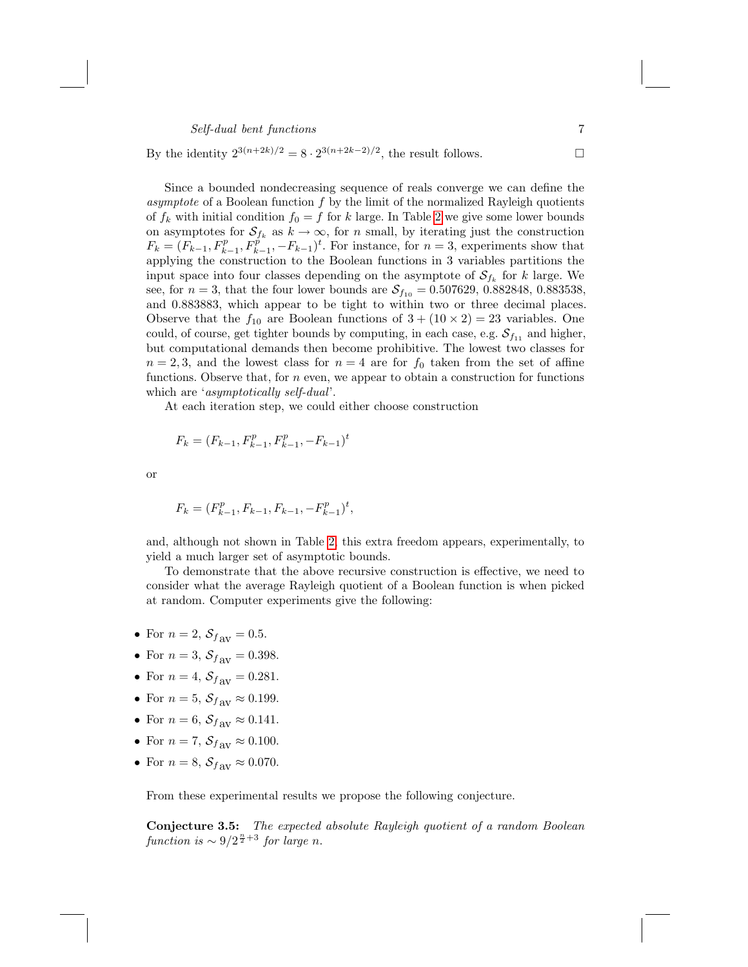By the identity  $2^{3(n+2k)/2} = 8 \cdot 2^{3(n+2k-2)/2}$ , the result follows.

Since a bounded nondecreasing sequence of reals converge we can define the asymptote of a Boolean function  $f$  by the limit of the normalized Rayleigh quotients of  $f_k$  with initial condition  $f_0 = f$  for k large. In Table 2 we give some lower bounds on asymptotes for  $\mathcal{S}_{f_k}$  as  $k \to \infty$ , for n small, by iterating just the construction  $F_k = (F_{k-1}, F_{k-1}^p, F_{k-1}^p, -F_{k-1})^t$ . For instance, for  $n = 3$ , experiments show that applying the construction to the Boolean functions in 3 variables partitions the input space into four classes depending on the asymptote of  $\mathcal{S}_{f_k}$  for k large. We see, for  $n = 3$ , that the four lower bounds are  $S_{f_{10}} = 0.507629, 0.882848, 0.883538,$ and 0.883883, which appear to be tight to within two or three decimal places. Observe that the  $f_{10}$  are Boolean functions of  $3 + (10 \times 2) = 23$  variables. One could, of course, get tighter bounds by computing, in each case, e.g.  $\mathcal{S}_{f_{11}}$  and higher, but computational demands then become prohibitive. The lowest two classes for  $n = 2, 3$ , and the lowest class for  $n = 4$  are for  $f_0$  taken from the set of affine functions. Observe that, for  $n$  even, we appear to obtain a construction for functions which are '*asymptotically self-dual*'.

At each iteration step, we could either choose construction

$$
F_k = (F_{k-1}, F_{k-1}^p, F_{k-1}^p, -F_{k-1})^t
$$

or

$$
F_k = (F_{k-1}^p, F_{k-1}, F_{k-1}, -F_{k-1}^p)^t,
$$

and, although not shown in Table 2, this extra freedom appears, experimentally, to yield a much larger set of asymptotic bounds.

To demonstrate that the above recursive construction is effective, we need to consider what the average Rayleigh quotient of a Boolean function is when picked at random. Computer experiments give the following:

- For  $n = 2$ ,  $S_{f_{\text{av}}} = 0.5$ .
- For  $n = 3$ ,  $S_{f_{\text{AV}}} = 0.398$ .
- For  $n = 4$ ,  $S_{f_{\text{av}}} = 0.281$ .
- For  $n = 5$ ,  $S_{f_{\text{av}}} \approx 0.199$ .
- For  $n = 6$ ,  $S_{f_{\text{AV}}} \approx 0.141$ .
- For  $n = 7$ ,  $S_{f_{\text{av}}} \approx 0.100$ .
- For  $n = 8$ ,  $S_{f_{\text{av}}} \approx 0.070$ .

From these experimental results we propose the following conjecture.

Conjecture 3.5: The expected absolute Rayleigh quotient of a random Boolean function is  $\sim 9/2^{\frac{n}{2}+3}$  for large n.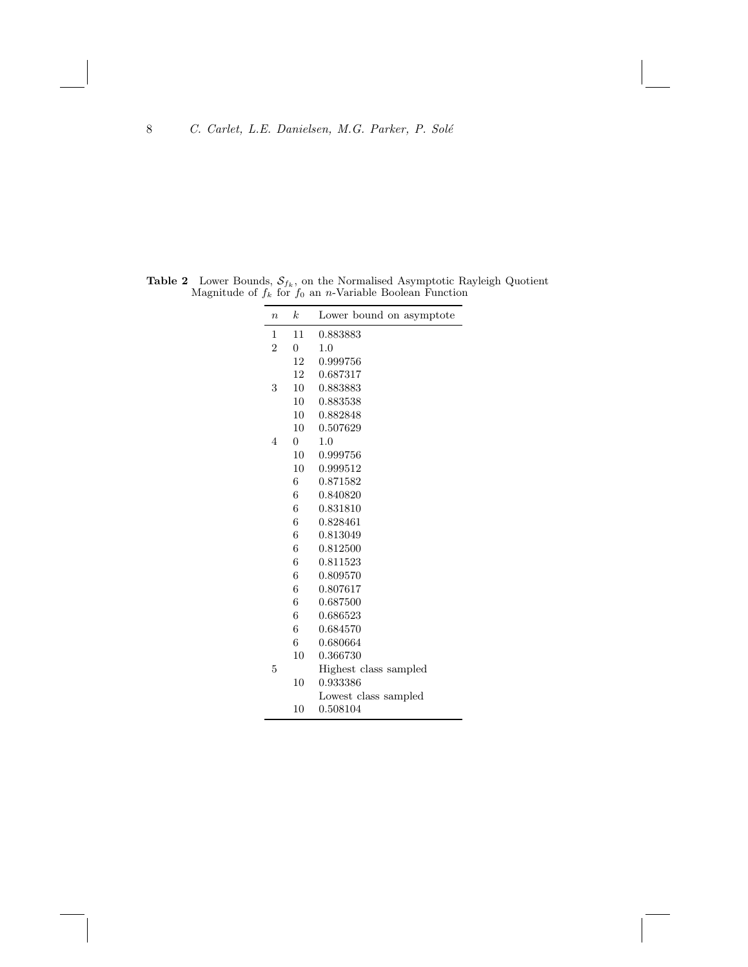<span id="page-7-0"></span>**Table 2** Lower Bounds,  $S_{f_k}$ , on the Normalised Asymptotic Rayleigh Quotient Magnitude of  $f_k$  for  $f_0$  an n-Variable Boolean Function

| $\boldsymbol{n}$ | $\boldsymbol{k}$ | Lower bound on asymptote |
|------------------|------------------|--------------------------|
| 1                | 11               | 0.883883                 |
| $\overline{2}$   | $\overline{0}$   | 1.0                      |
|                  | 12               | 0.999756                 |
|                  | 12               | 0.687317                 |
| 3                | 10               | 0.883883                 |
|                  | 10               | 0.883538                 |
|                  | 10               | 0.882848                 |
|                  | 10               | 0.507629                 |
| 4                | $\overline{0}$   | 1.0                      |
|                  | 10               | 0.999756                 |
|                  | 10               | 0.999512                 |
|                  | 6                | 0.871582                 |
|                  | 6                | 0.840820                 |
|                  | 6                | 0.831810                 |
|                  | 6                | 0.828461                 |
|                  | 6                | 0.813049                 |
|                  | 6                | 0.812500                 |
|                  | 6                | 0.811523                 |
|                  | 6                | 0.809570                 |
|                  | 6                | 0.807617                 |
|                  | 6                | 0.687500                 |
|                  | 6                | 0.686523                 |
|                  | 6                | 0.684570                 |
|                  | 6                | 0.680664                 |
|                  | 10               | 0.366730                 |
| 5                |                  | Highest class sampled    |
|                  | 10               | 0.933386                 |
|                  |                  | Lowest class sampled     |
|                  | 10               | 0.508104                 |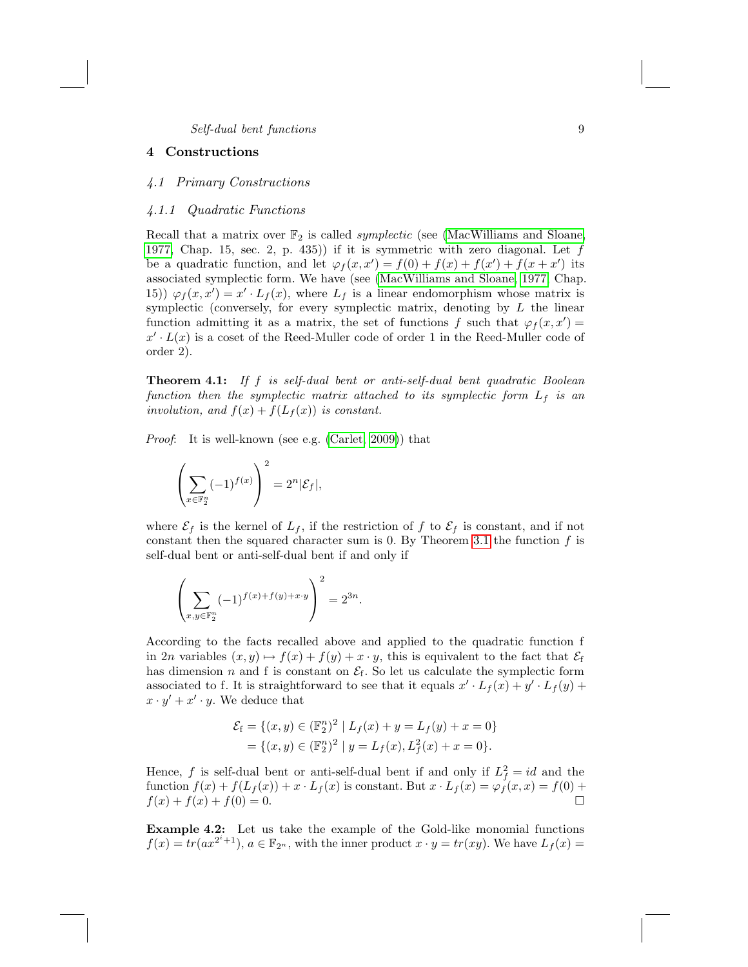## <span id="page-8-0"></span>4 Constructions

## 4.1 Primary Construct[ions](#page-16-1)

## 4.1.1 Quadratic Functions

Recall that a matrix over  $\mathbb{F}_2$  is called *symplectic* (see (MacWilliams and Sloane, 1977, Chap. 15, sec. 2, p. 435) if it is symmetric with zero diagonal. Let  $f$ be a quadratic function, and let  $\varphi_f(x, x') = f(0) + f(x) + f(x') + f(x + x')$  its associated symplectic form. We have (see (MacWilliams and Sloane, 1977, Chap. 15))  $\varphi_f(x,x') = x' \cdot L_f(x)$ , where  $L_f$  is a linear endomorphism whose matrix is symplectic (conversely, for every symplectic matrix, denoting by  $L$  the linear function admitting it as a matrix, the set of functions f such that  $\varphi_f(x,x') =$  $x' \cdot L(x)$  is a cos[et of the Reed](#page-16-2)-Muller code of order 1 in the Reed-Muller code of order 2).

**Theorem 4.1:** If f is self-dual bent or anti-self-dual bent quadratic Boolean function then the symplectic matrix attached to its symplectic form  $L_f$  is an involution, and  $f(x) + f(L_f(x))$  is constant.

Proof: It is well-known (see e.g. (Carlet, 2009)) that

$$
\left(\sum_{x\in\mathbb{F}_2^n}(-1)^{f(x)}\right)^2=2^n|\mathcal{E}_f|,
$$

where  $\mathcal{E}_f$  is the kernel of  $L_f$ , if the restriction of f to  $\mathcal{E}_f$  is constant, and if not constant then the squared character sum is 0. By Theorem 3.1 the function  $f$  is self-dual bent or anti-self-dual bent if and only if

$$
\left(\sum_{x,y \in \mathbb{F}_2^n} (-1)^{f(x) + f(y) + x \cdot y}\right)^2 = 2^{3n}.
$$

According to the facts recalled above and applied to the quadratic function f in 2n variables  $(x, y) \mapsto f(x) + f(y) + x \cdot y$ , this is equivalent to the fact that  $\mathcal{E}_f$ has dimension n and f is constant on  $\mathcal{E}_{f}$ . So let us calculate the symplectic form associated to f. It is straightforward to see that it equals  $x' \cdot L_f(x) + y' \cdot L_f(y) +$  $x \cdot y' + x' \cdot y$ . We deduce that

$$
\mathcal{E}_{f} = \{ (x, y) \in (\mathbb{F}_{2}^{n})^{2} \mid L_{f}(x) + y = L_{f}(y) + x = 0 \}
$$
  
=  $\{ (x, y) \in (\mathbb{F}_{2}^{n})^{2} \mid y = L_{f}(x), L_{f}^{2}(x) + x = 0 \}.$ 

Hence, f is self-dual bent or anti-self-dual bent if and only if  $L_f^2 = id$  and the function  $f(x) + f(L_f(x)) + x \cdot L_f(x)$  is constant. But  $x \cdot L_f(x) = \varphi_f(x, x) = f(0) +$  $f(x) + f(x) + f(0) = 0.$ 

Example 4.2: Let us take the example of the Gold-like monomial functions  $f(x) = tr(ax^{2^i+1}), a \in \mathbb{F}_{2^n}$ , with the inner product  $x \cdot y = tr(xy)$ . We have  $L_f(x) =$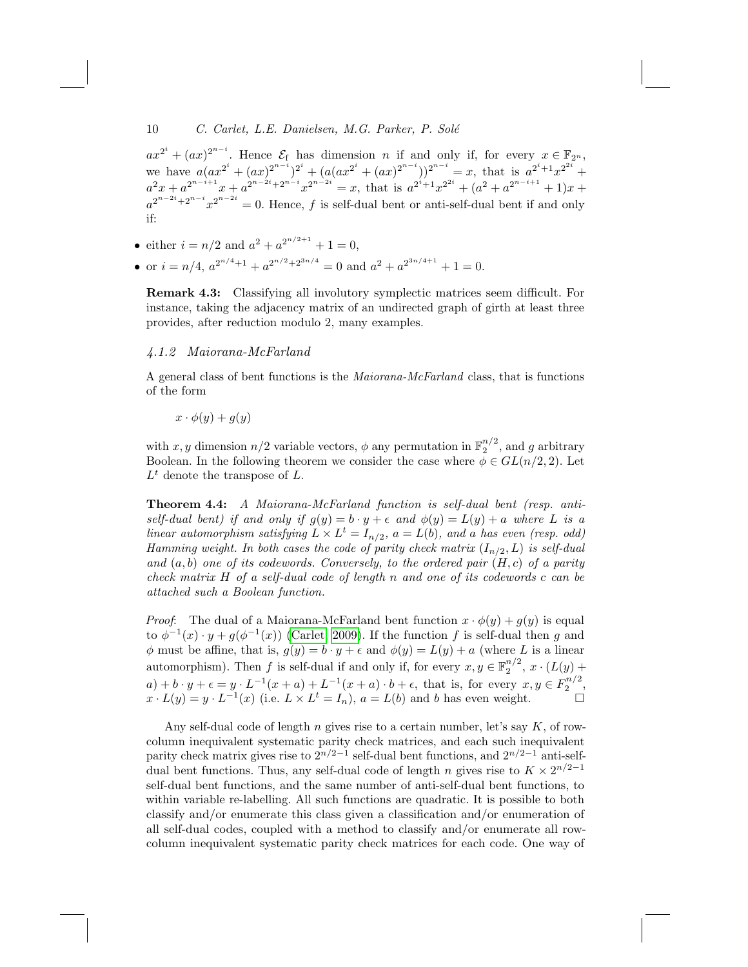$ax^{2^i} + (ax)^{2^{n-i}}$ . Hence  $\mathcal{E}_{f}$  has dimension *n* if and only if, for every  $x \in \mathbb{F}_{2^n}$ , we have  $a(ax^{2^i} + (ax)^{2^{n-i}})^{2^i} + (a(ax^{2^i} + (ax)^{2^{n-i}}))^{2^{n-i}} = x$ , that is  $a^{2^i+1}x^{2^{2i}} +$  $a^2x + a^{2^{n-i+1}}x + a^{2^{n-2i}+2^{n-i}}x^{2^{n-2i}} = x$ , that is  $a^{2^i+1}x^{2^{2i}} + (a^2 + a^{2^{n-i+1}} + 1)x +$  $a^{2^{n-2i}+2^{n-i}}x^{2^{n-2i}}=0.$  Hence, f is self-dual bent or anti-self-dual bent if and only if:

- either  $i = n/2$  and  $a^2 + a^{2^{n/2+1}} + 1 = 0$ ,
- or  $i = n/4$ ,  $a^{2^{n/4}+1} + a^{2^{n/2}+2^{3n/4}} = 0$  and  $a^2 + a^{2^{3n/4+1}} + 1 = 0$ .

Remark 4.3: Classifying all involutory symplectic matrices seem difficult. For instance, taking the adjacency matrix of an undirected graph of girth at least three provides, after reduction modulo 2, many examples.

## 4.1.2 Maiorana-McFarland

A general class of bent functions is the Maiorana-McFarland class, that is functions of the form

 $x \cdot \phi(y) + g(y)$ 

with x, y dimension  $n/2$  variable vectors,  $\phi$  any permutation in  $\mathbb{F}_2^{n/2}$ , and g arbitrary Boolean. In the following theorem we consider the case where  $\phi \in GL(n/2, 2)$ . Let  $L^t$  denote the transpose of  $L$ .

Theorem 4.4: A Maiorana-McFarland function is self-dual bent (resp. antiself-dual bent) if and only if  $g(y) = b \cdot y + \epsilon$  and  $\phi(y) = L(y) + a$  where L is a linear automorphism satisfying  $L \times L^t = I_{n/2}$ ,  $a = L(b)$ , and a has even (resp. odd) Hamming [weight. In bot](#page-16-2)h cases the code of parity check matrix  $(I_{n/2}, L)$  is self-dual and  $(a, b)$  one of its codewords. Conversely, to the ordered pair  $(H, c)$  of a parity check matrix H of a self-dual code of length n and one of its codewords c can be attached such a Boolean function.

*Proof*: The dual of a Maiorana-McFarland bent function  $x \cdot \phi(y) + g(y)$  is equal to  $\phi^{-1}(x) \cdot y + g(\phi^{-1}(x))$  (Carlet, 2009). If the function f is self-dual then g and  $\phi$  must be affine, that is,  $g(y) = b \cdot y + \epsilon$  and  $\phi(y) = L(y) + a$  (where L is a linear automorphism). Then f is self-dual if and only if, for every  $x, y \in \mathbb{F}_2^{n/2}$ ,  $x \cdot (L(y) +$  $a) + b \cdot y + \epsilon = y \cdot L^{-1}(x+a) + L^{-1}(x+a) \cdot b + \epsilon$ , that is, for every  $x, y \in F_2^{n/2}$ ,  $x \cdot L(y) = y \cdot L^{-1}(x)$  (i.e.  $L \times L^t = I_n$ ),  $a = L(b)$  and b has even weight.

Any self-dual code of length n gives rise to a certain number, let's say  $K$ , of rowcolumn inequivalent systematic parity check matrices, and each such inequivalent parity check matrix gives rise to  $2^{n/2-1}$  self-dual bent functions, and  $2^{n/2-1}$  anti-selfdual bent functions. Thus, any self-dual code of length n gives rise to  $K \times 2^{n/2-1}$ self-dual bent functions, and the same number of anti-self-dual bent functions, to within variable re-labelling. All such functions are quadratic. It is possible to both classify and/or enumerate this class given a classification and/or enumeration of all self-dual codes, coupled with a method to classify and/or enumerate all rowcolumn inequivalent systematic parity check matrices for each code. One way of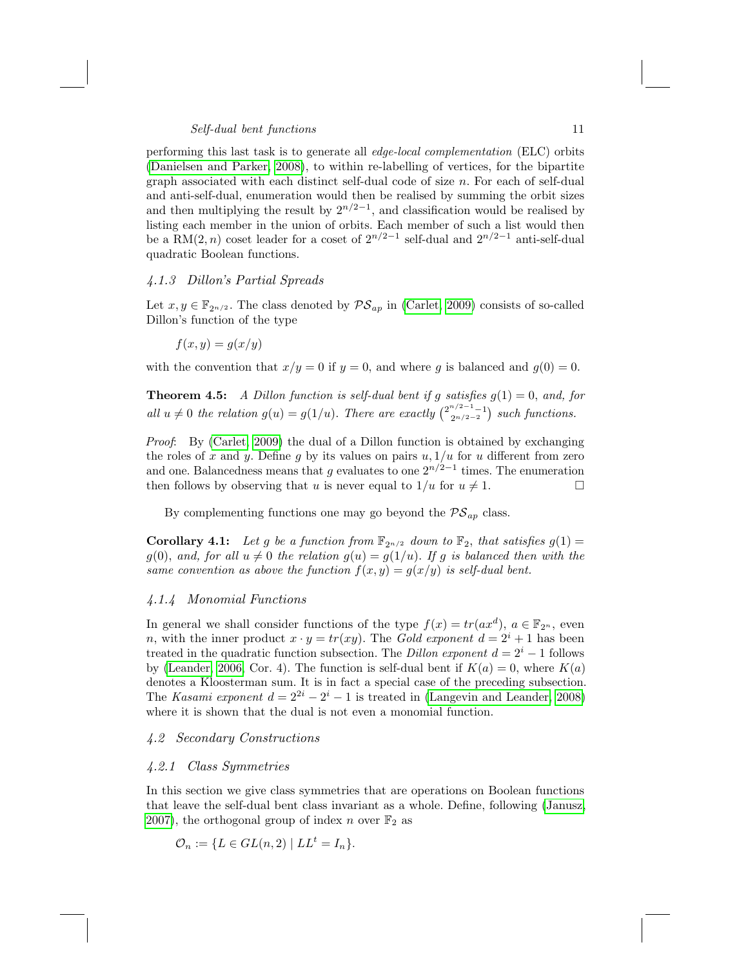performing this last task is to generate all edge-local complementation (ELC) orbits (Danielsen and Parker, 2008), to within re-labelling of vertices, for the bipartite graph associated with each distinct self-dual code of size n. For each of self-dual and anti-self-dual, enumeration would then be realised by summing the orbit sizes and then multiplying the result by  $2^{n/2-1}$ , and classification would be realised by listing each member in the unio[n of orbits. E](#page-16-2)ach member of such a list would then be a RM(2, n) coset leader for a coset of  $2^{n/2-1}$  self-dual and  $2^{n/2-1}$  anti-self-dual quadratic Boolean functions.

## 4.1.3 Dillon's Partial Spreads

Let  $x, y \in \mathbb{F}_{2^{n/2}}$ . The class denoted by  $\mathcal{PS}_{ap}$  in (Carlet, 2009) consists of so-called Dillon's function of the type

$$
f(x, y) = g(x/y)
$$

with the convention that  $x/y = 0$  if  $y = 0$ , and where g is balanced and  $g(0) = 0$ .

**Theorem 4.5:** A Dillon function is self-dual bent if g satisfies  $g(1) = 0$ , and, for all  $u \neq 0$  the relation  $g(u) = g(1/u)$ . There are exactly  $\binom{2^{n/2-1}-1}{2^{n/2-2}}$  such functions.

Proof: By (Carlet, 2009) the dual of a Dillon function is obtained by exchanging the roles of x and y. Define g by its values on pairs  $u, 1/u$  for u different from zero and one. Balancedness means that g evaluates to one  $2^{n/2-1}$  times. The enumeration then follows by observing that u is never equal to  $1/u$  for  $u \neq 1$ .

By complementing functions one may go beyond the  $PS_{ap}$  class.

**Corollary 4.1:** Let g be a function from  $\mathbb{F}_{2n/2}$  down to  $\mathbb{F}_2$ , that satisfies  $g(1)$  $g(0)$ , and, for all  $u \neq 0$  the relation  $g(u) = g(1/u)$ . If g is balanced then with the [sa](#page-16-3)me convention as above the function  $f(x, y) = g(x/y)$  is self-dual bent.

#### 4.1.4 Monomial Functions

In general we shall consider functions of the type  $f(x) = tr(ax^d)$ ,  $a \in \mathbb{F}_{2^n}$ , even n, with the inner product  $x \cdot y = tr(xy)$ . The Gold exponent  $d = 2^{i} + 1$  has been treated in the quadratic function subsection. The Dillon exponent  $d = 2<sup>i</sup> - 1$  follows by (Leander, 2006, Cor. 4). The function is self-dual bent if  $K(a) = 0$ , where  $K(a)$ denotes a Kloosterman sum. It is in fact a special case of the preceding subsection. The Kasami exponent  $d = 2^{2i} - 2^i - 1$  is treated in (Langevin and Leander, 2008) where it is shown that the dual is not even a monomial f[unction.](#page-16-4)

## 4.2 Secondary Constructions

#### 4.2.1 Class Symmetries

In this section we give class symmetries that are operations on Boolean functions that leave the self-dual bent class invariant as a whole. Define, following (Janusz, 2007), the orthogonal group of index n over  $\mathbb{F}_2$  as

$$
\mathcal{O}_n := \{ L \in GL(n, 2) \mid LL^t = I_n \}.
$$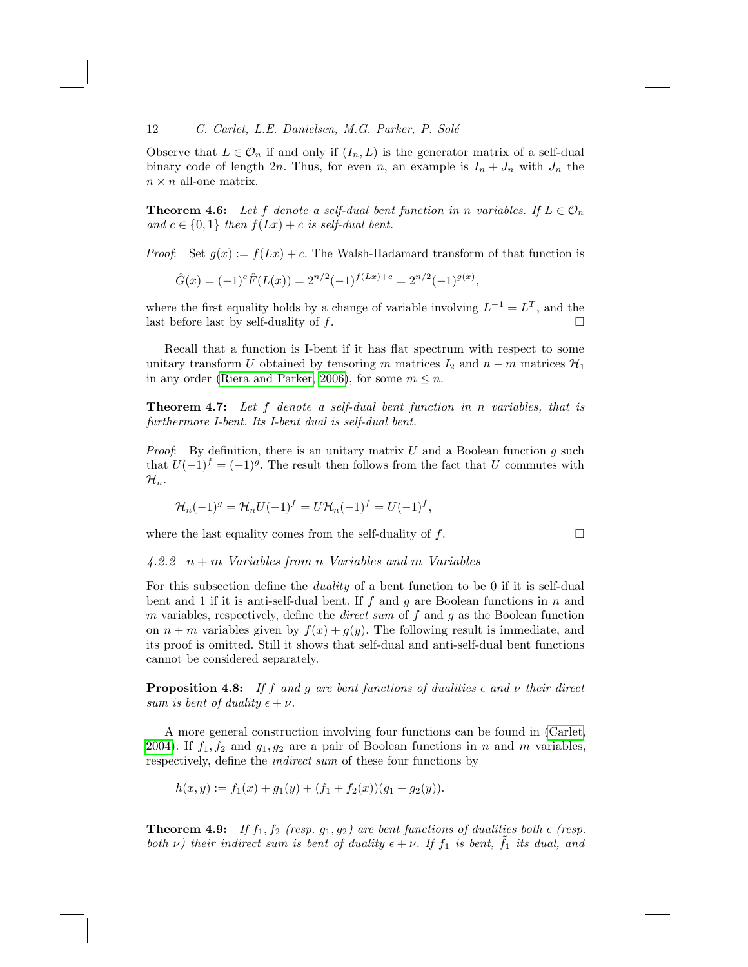Observe that  $L \in \mathcal{O}_n$  if and only if  $(I_n, L)$  is the generator matrix of a self-dual binary code of length 2n. Thus, for even n, an example is  $I_n + J_n$  with  $J_n$  the  $n \times n$  all-one matrix.

**Theorem 4.6:** Let f denote a self-dual bent function in n variables. If  $L \in \mathcal{O}_n$ and  $c \in \{0,1\}$  then  $f(Lx) + c$  is self-dual bent.

*Proof:* Set  $g(x) := f(Lx) + c$ . The Walsh-Hadamard transform of that function is

$$
\hat{G}(x) = (-1)^{c} \hat{F}(L(x)) = 2^{n/2} (-1)^{f(Lx) + c} = 2^{n/2} (-1)^{g(x)},
$$

where the first equality holds by a change of variable involving  $L^{-1} = L^{T}$ , and the last before last by self-duality of  $f$ .

Recall that a function is I-bent if it has flat spectrum with respect to some unitary transform U obtained by tensoring m matrices  $I_2$  and  $n - m$  matrices  $\mathcal{H}_1$ in any order (Riera and Parker, 2006), for some  $m \leq n$ .

**Theorem 4.7:** Let f denote a self-dual bent function in n variables, that is furthermore I-bent. Its I-bent dual is self-dual bent.

*Proof*: By definition, there is an unitary matrix U and a Boolean function g such that  $U(-1)^f = (-1)^g$ . The result then follows from the fact that U commutes with  $\mathcal{H}_n$ .

$$
\mathcal{H}_n(-1)^g = \mathcal{H}_n U(-1)^f = U \mathcal{H}_n(-1)^f = U(-1)^f,
$$

where the last equality comes from the self-duality of  $f$ .

 $4.2.2\quad n+m$  Variables from n Variables and m Variables

For this subsection define the duality of a bent function to be 0 if it is self-dual bent and 1 if it is anti-self-dual bent. If f and g are Boolean functions in  $n$  and m variables, respectively, define the *direct sum* of f and g as the Boolean function on  $n + m$  variables given by  $f(x) + g(y)$ . The following result is immediate, and its proof is omitted. Still it shows that self-dual and anti-[self-dua](#page-16-6)l bent functions cannot be considered separately.

**Proposition 4.8:** If f and g are bent functions of dualities  $\epsilon$  and  $\nu$  their direct sum is bent of duality  $\epsilon + \nu$ .

A more general construction involving four functions can be found in (Carlet, 2004). If  $f_1, f_2$  and  $g_1, g_2$  are a pair of Boolean functions in n and m variables, respectively, define the indirect sum of these four functions by

$$
h(x,y) := f_1(x) + g_1(y) + (f_1 + f_2(x))(g_1 + g_2(y)).
$$

**Theorem 4.9:** If  $f_1, f_2$  (resp.  $g_1, g_2$ ) are bent functions of dualities both  $\epsilon$  (resp. both  $\nu$ ) their indirect sum is bent of duality  $\epsilon + \nu$ . If  $f_1$  is bent,  $f_1$  its dual, and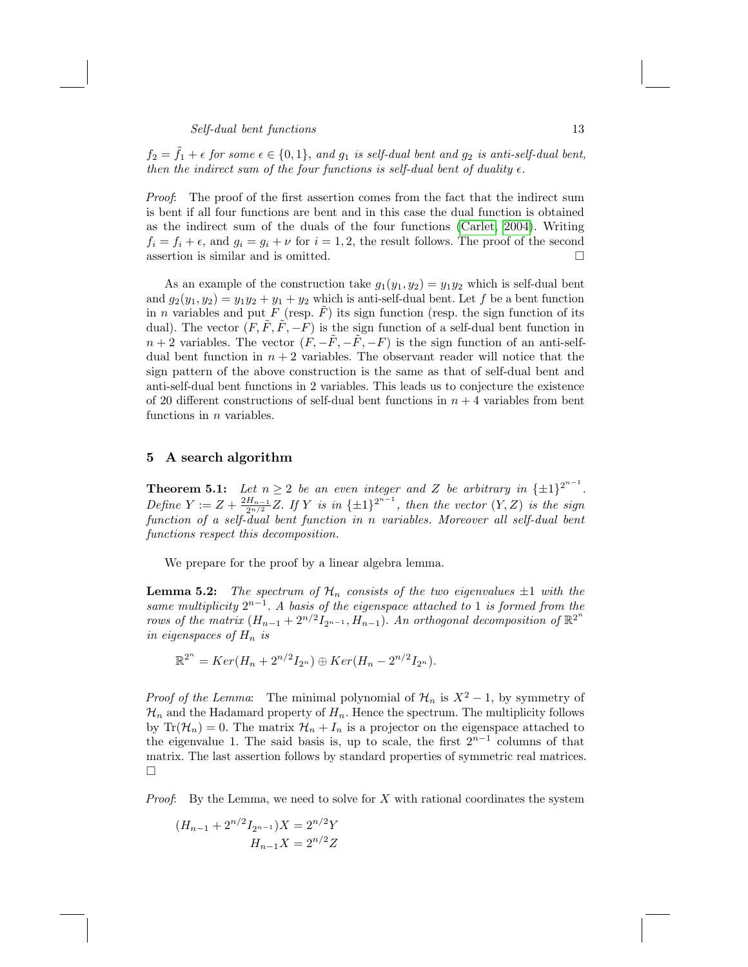$f_2 = \tilde{f}_1 + \epsilon$  for some  $\epsilon \in \{0,1\}$ , and  $g_1$  is self-dual bent and  $g_2$  is anti-self-dual bent, then the indirect sum of the four functions is self-dual bent of duality  $\epsilon$ .

Proof: The proof of the first assertion comes from the fact that the indirect sum is bent if all four functions are bent and in this case the dual function is obtained as the indirect sum of the duals of the four functions (Carlet, 2004). Writing  $f_i = f_i + \epsilon$ , and  $g_i = g_i + \nu$  for  $i = 1, 2$ , the result follows. The proof of the second assertion is similar and is omitted.  $\hfill \square$ 

<span id="page-12-0"></span>As an example of the construction take  $g_1(y_1, y_2) = y_1 y_2$  which is self-dual bent and  $g_2(y_1, y_2) = y_1y_2 + y_1 + y_2$  which is anti-self-dual bent. Let f be a bent function in *n* variables and put F (resp.  $\overline{F}$ ) its sign function (resp. the sign function of its dual). The vector  $(F, \tilde{F}, \tilde{F}, -F)$  is the sign function of a self-dual bent function in  $n+2$  variables. The vector  $(F, -\tilde{F}, -\tilde{F}, -F)$  is the sign function of an anti-selfdual bent function in  $n + 2$  variables. The observant reader will notice that the sign pattern of the above construction is the same as that of self-dual bent and anti-self-dual bent functions in 2 variables. This leads us to conjecture the existence of 20 different constructions of self-dual bent functions in  $n + 4$  variables from bent functions in  $n$  variables.

## 5 A search algorithm

<span id="page-12-1"></span>**Theorem 5.1:** Let  $n \geq 2$  be an even integer and Z be arbitrary in  $\{\pm 1\}^{2^{n-1}}$ . Define  $Y := Z + \frac{2H_{n-1}}{2^{n/2}}Z$ . If Y is in  $\{\pm 1\}^{2^{n-1}}$ , then the vector  $(Y, Z)$  is the sign function of a self-dual bent function in n variables. Moreover all self-dual bent functions respect this decomposition.

We prepare for the proof by a linear algebra lemma.

**Lemma 5.2:** The spectrum of  $\mathcal{H}_n$  consists of the two eigenvalues  $\pm 1$  with the same multiplicity  $2^{n-1}$ . A basis of the eigenspace attached to 1 is formed from the rows of the matrix  $(H_{n-1} + 2^{n/2}I_{2^{n-1}}, H_{n-1})$ . An orthogonal decomposition of  $\mathbb{R}^{2^n}$ in eigenspaces of  $H_n$  is

$$
\mathbb{R}^{2^n} = Ker(H_n + 2^{n/2}I_{2^n}) \oplus Ker(H_n - 2^{n/2}I_{2^n}).
$$

*Proof of the Lemma*: The minimal polynomial of  $\mathcal{H}_n$  is  $X^2 - 1$ , by symmetry of  $\mathcal{H}_n$  and the Hadamard property of  $H_n$ . Hence the spectrum. The multiplicity follows by  $\text{Tr}(\mathcal{H}_n) = 0$ . The matrix  $\mathcal{H}_n + I_n$  is a projector on the eigenspace attached to the eigenvalue 1. The said basis is, up to scale, the first  $2^{n-1}$  columns of that matrix. The last assertion follows by standard properties of symmetric real matrices.  $\Box$ 

*Proof*: By the Lemma, we need to solve for  $X$  with rational coordinates the system

$$
(H_{n-1} + 2^{n/2} I_{2^{n-1}})X = 2^{n/2}Y
$$

$$
H_{n-1}X = 2^{n/2}Z
$$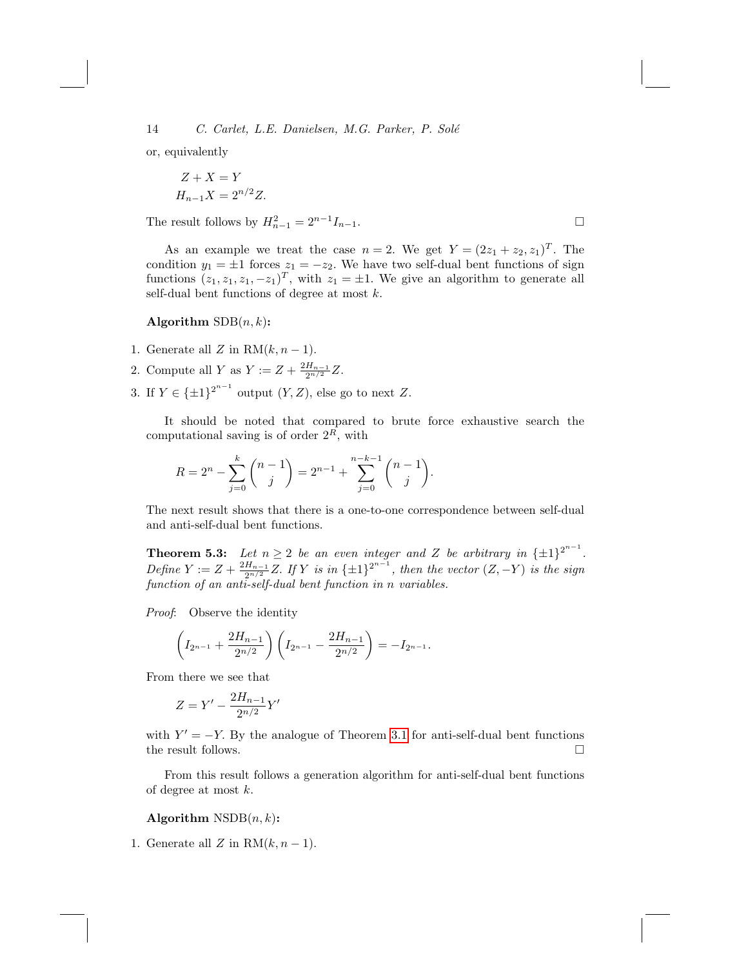or, equivalently

$$
Z + X = Y
$$
  

$$
H_{n-1}X = 2^{n/2}Z.
$$

The result follows by  $H_{n-1}^2 = 2^{n-1} I_{n-1}$ .

As an example we treat the case  $n=2$ . We get  $Y=(2z_1+z_2, z_1)^T$ . The condition  $y_1 = \pm 1$  forces  $z_1 = -z_2$ . We have two self-dual bent functions of sign functions  $(z_1, z_1, z_1, -z_1)^T$ , with  $z_1 = \pm 1$ . We give an algorithm to generate all self-dual bent functions of degree at most  $k$ .

## Algorithm  $SDB(n, k)$ :

- 1. Generate all Z in  $RM(k, n-1)$ .
- 2. Compute all Y as  $Y := Z + \frac{2H_{n-1}}{2^{n/2}}Z$ .
- 3. If  $Y \in {\{\pm 1\}}^{2^{n-1}}$  output  $(Y, Z)$ , else go to next Z.

It should be noted that compared to brute force exhaustive search the computational saving is of order  $2^R$ , with

$$
R = 2^{n} - \sum_{j=0}^{k} {n-1 \choose j} = 2^{n-1} + \sum_{j=0}^{n-k-1} {n-1 \choose j}.
$$

The next result shows that there is a one-to-one correspondence between self-dual and anti-self-dual bent functions.

**Theorem 5.3:** Let  $n \geq 2$  be an even integer and Z be arbitrary in  $\{\pm 1\}^{2^{n-1}}$ . Define  $Y := Z + \frac{2H_{n-1}}{2^{n/2}}Z$ . If Y is in  $\{\pm 1\}^{2^{n-1}}$ , then the vector  $(Z, -Y)$  is the sign function of an anti-self-dual bent function in n variables.

Proof: Observe the identity

$$
\left(I_{2^{n-1}}+\frac{2H_{n-1}}{2^{n/2}}\right)\left(I_{2^{n-1}}-\frac{2H_{n-1}}{2^{n/2}}\right)=-I_{2^{n-1}}.
$$

From there we see that

$$
Z = Y' - \frac{2H_{n-1}}{2^{n/2}}Y'
$$

with  $Y' = -Y$ . By the analogue of Theorem 3.1 for anti-self-dual bent functions the result follows.  $\hfill \square$ 

From this result follows a generation algorithm for anti-self-dual bent functions of degree at most k.

Algorithm  $\text{NSDB}(n, k)$ :

1. Generate all Z in  $RM(k, n-1)$ .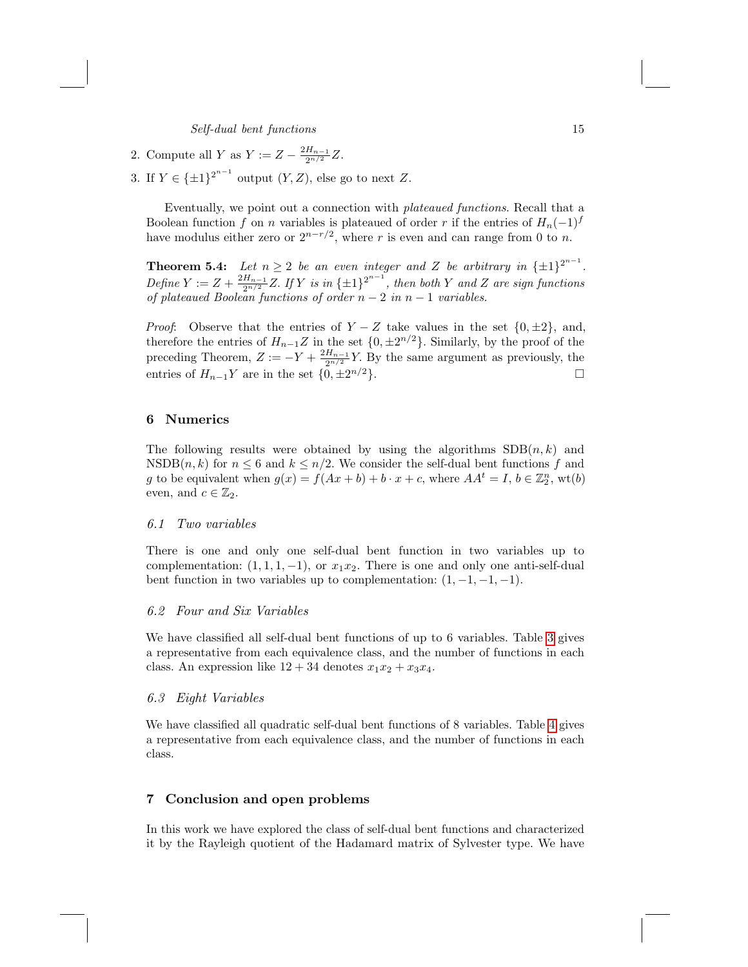- 2. Compute all Y as  $Y := Z \frac{2H_{n-1}}{2^{n/2}}Z$ .
- 3. If  $Y \in {\{\pm 1\}}^{2^{n-1}}$  output  $(Y, Z)$ , else go to next Z.

Eventually, we point out a connection with plateaued functions. Recall that a Boolean function f on n variables is plateaued of order r if the entries of  $H_n(-1)^f$ have modulus either zero or  $2^{n-r/2}$ , where r is even and can range from 0 to n.

**Theorem 5.4:** Let  $n \geq 2$  be an even integer and Z be arbitrary in  $\{\pm 1\}^{2^{n-1}}$ . Define  $Y := Z + \frac{2H_{n-1}}{2^{n/2}}Z$ . If Y is in  $\{\pm 1\}^{2^{n-1}}$ , then both Y and Z are sign functions of plateaued Boolean functions of order  $n-2$  in  $n-1$  variables.

*Proof:* Observe that the entries of  $Y - Z$  take values in the set  $\{0, \pm 2\}$ , and, therefore the entries of  $H_{n-1}Z$  in the set  $\{0, \pm 2^{n/2}\}\$ . Similarly, by the proof of the preceding Theorem,  $Z := -Y + \frac{2H_{n-1}}{2^{n/2}}Y$ . By the same argument as previously, the entries of  $H_{n-1}Y$  are in the set  $\{0, \pm 2^{n/2}\}.$  $n/2$ .

## 6 Numerics

The following results were obtained by using the algorithms  $SDB(n, k)$  and  $\text{NSDB}(n, k)$  for  $n \leq 6$  and  $k \leq n/2$ . We consider the self-dual bent functions f and g to be equivalent when  $g(x) = f(Ax + b) + b \cdot x + c$ , where  $AA^t = I$ ,  $b \in \mathbb{Z}_2^n$ , wt $(b)$ even, and  $c \in \mathbb{Z}_2$ .

#### 6.1 Two variables

There is one and only one self-dual bent function i[n](#page-15-0) two variables up to complementation:  $(1, 1, 1, -1)$ , or  $x_1x_2$ . There is one and only one anti-self-dual bent function in two variables up to complementation:  $(1, -1, -1, -1)$ .

## 6.2 Four and Six Variables

We have classified all self-dual bent functions of up to 6 [va](#page-15-1)riables. Table 3 gives a representative from each equivalence class, and the number of functions in each class. An expression like  $12 + 34$  denotes  $x_1x_2 + x_3x_4$ .

## 6.3 Eight Variables

We have classified all quadratic self-dual bent functions of 8 variables. Table 4 gives a representative from each equivalence class, and the number of functions in each class.

## 7 Conclusion and open problems

In this work we have explored the class of self-dual bent functions and characterized it by the Rayleigh quotient of the Hadamard matrix of Sylvester type. We have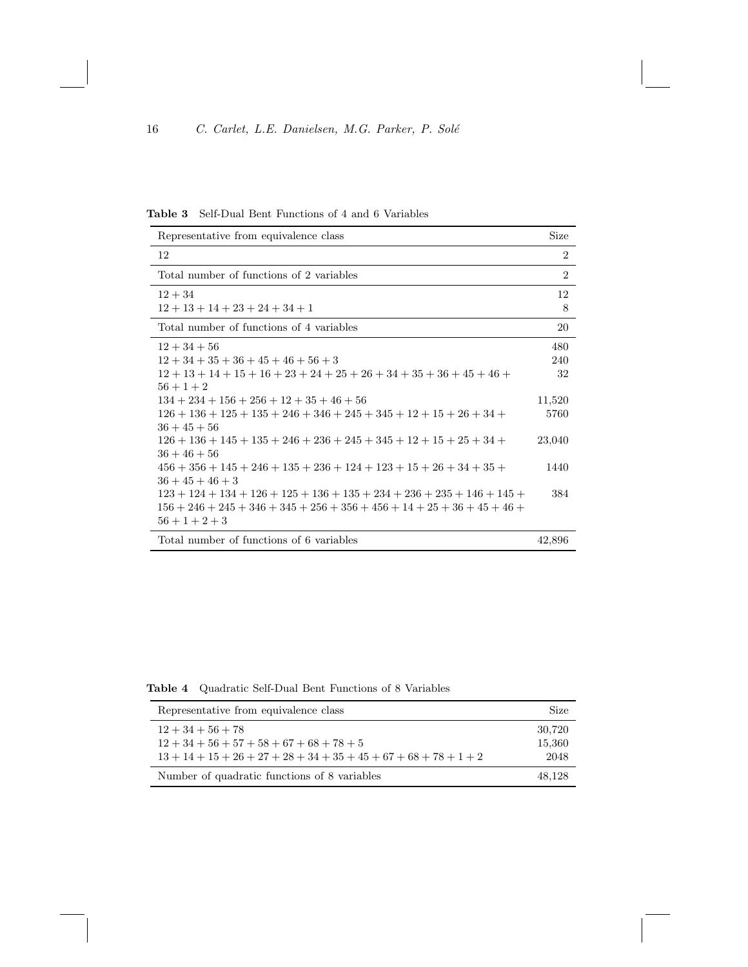<span id="page-15-0"></span>

| Representative from equivalence class                                      |                |  |
|----------------------------------------------------------------------------|----------------|--|
| 12                                                                         | $\overline{2}$ |  |
| Total number of functions of 2 variables                                   | $\overline{2}$ |  |
| $12 + 34$                                                                  | 12             |  |
| $12+13+14+23+24+34+1$                                                      | 8              |  |
| Total number of functions of 4 variables                                   | 20             |  |
| $12 + 34 + 56$                                                             | 480            |  |
| $12+34+35+36+45+46+56+3$                                                   | 240            |  |
| $12+13+14+15+16+23+24+25+26+34+35+36+45+46+$                               | 32             |  |
| $56 + 1 + 2$                                                               |                |  |
| $134 + 234 + 156 + 256 + 12 + 35 + 46 + 56$                                | 11,520         |  |
| $126 + 136 + 125 + 135 + 246 + 346 + 245 + 345 + 12 + 15 + 26 + 34 +$      | 5760           |  |
| $36 + 45 + 56$                                                             |                |  |
| $126+136+145+135+246+236+245+345+12+15+25+34+$                             | 23,040         |  |
| $36 + 46 + 56$                                                             |                |  |
| $456 + 356 + 145 + 246 + 135 + 236 + 124 + 123 + 15 + 26 + 34 + 35 +$      | 1440           |  |
| $36 + 45 + 46 + 3$                                                         |                |  |
| $123 + 124 + 134 + 126 + 125 + 136 + 135 + 234 + 236 + 235 + 146 + 145 +$  | 384            |  |
| $156 + 246 + 245 + 346 + 345 + 256 + 356 + 456 + 14 + 25 + 36 + 45 + 46 +$ |                |  |
| $56 + 1 + 2 + 3$                                                           |                |  |
| Total number of functions of Compiehles                                    | 1000c          |  |

Total number of functions of 6 variables 42,896

Table 4 Quadratic Self-Dual Bent Functions of 8 Variables

<span id="page-15-1"></span>

| Representative from equivalence class                                                                     |                          |  |
|-----------------------------------------------------------------------------------------------------------|--------------------------|--|
| $12+34+56+78$<br>$12 + 34 + 56 + 57 + 58 + 67 + 68 + 78 + 5$<br>$13+14+15+26+27+28+34+35+45+67+68+78+1+2$ | 30,720<br>15,360<br>2048 |  |
| Number of quadratic functions of 8 variables                                                              | 48.128                   |  |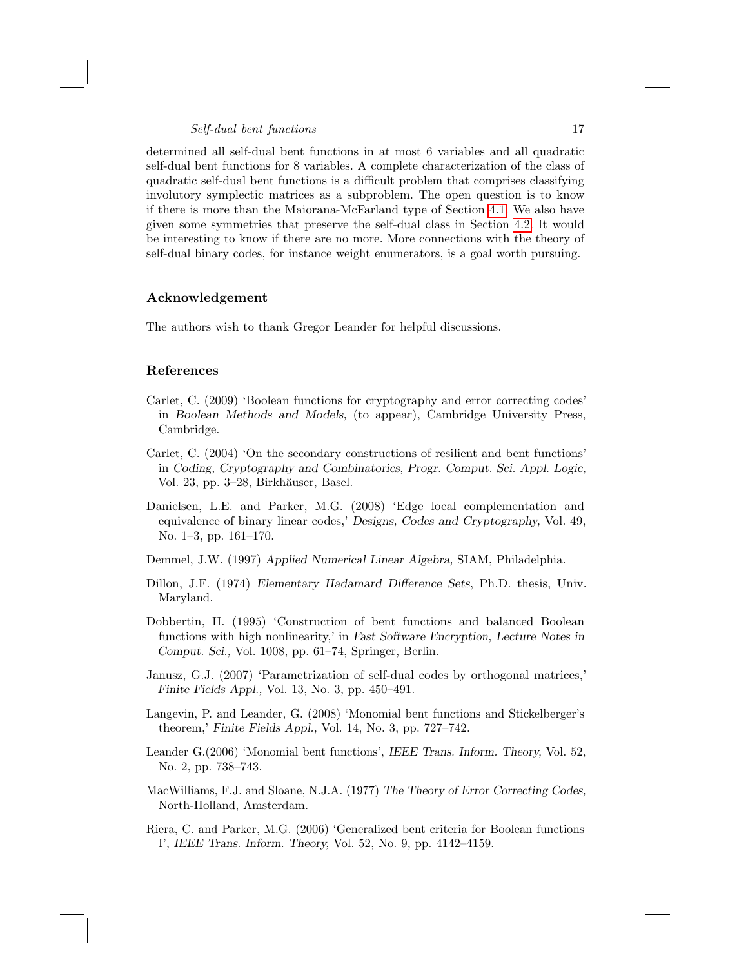determined all self-dual bent functions in at most 6 variables and all quadratic self-dual bent functions for 8 variables. A complete characterization of the class of quadratic self-dual bent functions is a difficult problem that comprises classifying involutory symplectic matrices as a subproblem. The open question is to know if there is more than the Maiorana-McFarland type of Section 4.1. We also have given some symmetries that preserve the self-dual class in Section 4.2. It would be interesting to know if there are no more. More connections with the theory of self-dual binary codes, for instance weight enumerators, is a goal worth pursuing.

## <span id="page-16-2"></span>Acknowledgement

The authors wish to thank Gregor Leander for helpful discussions.

## <span id="page-16-6"></span>References

- Carlet, C. (2009) 'Boolean functions for cryptography and error correcting codes' in Boolean Methods and Models, (to appear), Cambridge University Press, Cambridge.
- Carlet, C. (2004) 'On the secondary constructions of resilient and bent functions' in Coding, Cryptography and Combinatorics, Progr. Comput. Sci. Appl. Logic, Vol. 23, pp. 3–28, Birkhäuser, Basel.
- <span id="page-16-0"></span>Danielsen, L.E. and Parker, M.G. (2008) 'Edge local complementation and equivalence of binary linear codes,' Designs, Codes and Cryptography, Vol. 49, No. 1–3, pp. 161–170.
- Demmel, J.W. (1997) Applied Numerical Linear Algebra, SIAM, Philadelphia.
- <span id="page-16-4"></span>Dillon, J.F. (1974) Elementary Hadamard Difference Sets, Ph.D. thesis, Univ. Maryland.
- Dobbertin, H. (1995) 'Construction of bent functions and balanced Boolean functions with high nonlinearity,' in Fast Software Encryption, Lecture Notes in Comput. Sci., Vol. 1008, pp. 61–74, Springer, Berlin.
- <span id="page-16-3"></span>Janusz, G.J. (2007) 'Parametrization of self-dual codes by orthogonal matrices,' Finite Fields Appl., Vol. 13, No. 3, pp. 450–491.
- <span id="page-16-1"></span>Langevin, P. and Leander, G. (2008) 'Monomial bent functions and Stickelberger's theorem,' Finite Fields Appl., Vol. 14, No. 3, pp. 727–742.
- <span id="page-16-5"></span>Leander G.(2006) 'Monomial bent functions', IEEE Trans. Inform. Theory, Vol. 52, No. 2, pp. 738–743.
- MacWilliams, F.J. and Sloane, N.J.A. (1977) The Theory of Error Correcting Codes, North-Holland, Amsterdam.
- Riera, C. and Parker, M.G. (2006) 'Generalized bent criteria for Boolean functions I', IEEE Trans. Inform. Theory, Vol. 52, No. 9, pp. 4142–4159.